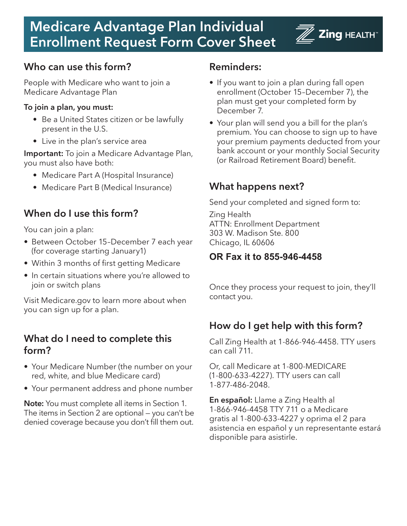# **Medicare Advantage Plan Individual Form To Zing HEALTH Enrollment Request Form Cover Sheet**

## **Who can use this form?**

People with Medicare who want to join a Medicare Advantage Plan

#### **To join a plan, you must:**

- Be a United States citizen or be lawfully present in the U.S.
- Live in the plan's service area

**Important:** To join a Medicare Advantage Plan, you must also have both:

- Medicare Part A (Hospital Insurance)
- Medicare Part B (Medical Insurance)

## **When do I use this form?**

You can join a plan:

- Between October 15–December 7 each year (for coverage starting January1)
- Within 3 months of first getting Medicare
- In certain situations where you're allowed to join or switch plans

Visit Medicare.gov to learn more about when you can sign up for a plan.

#### **What do I need to complete this form?**

- Your Medicare Number (the number on your red, white, and blue Medicare card)
- Your permanent address and phone number

**Note:** You must complete all items in Section 1. The items in Section 2 are optional — you can't be denied coverage because you don't fill them out.

#### **Reminders:**

- If you want to join a plan during fall open enrollment (October 15–December 7), the plan must get your completed form by December 7.
- Your plan will send you a bill for the plan's premium. You can choose to sign up to have your premium payments deducted from your bank account or your monthly Social Security (or Railroad Retirement Board) benefit.

## **What happens next?**

Send your completed and signed form to:

Zing Health ATTN: Enrollment Department 303 W. Madison Ste. 800 Chicago, IL 60606

#### **OR Fax it to 855-946-4458**

Once they process your request to join, they'll contact you.

## **How do I get help with this form?**

Call Zing Health at 1-866-946-4458. TTY users can call 711.

Or, call Medicare at 1-800-MEDICARE (1-800-633-4227). TTY users can call 1-877-486-2048.

**En español:** Llame a Zing Health al 1-866-946-4458 TTY 711 o a Medicare gratis al 1-800-633-4227 y oprima el 2 para asistencia en español y un representante estará disponible para asistirle.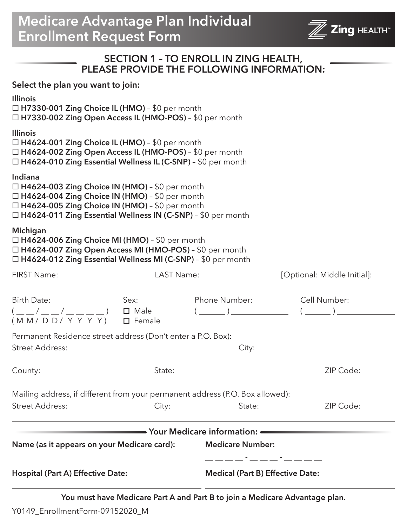# **Medicare Advantage Plan Individual Enrollment Request Form**



# **SECTION 1 – TO ENROLL IN ZING HEALTH, PLEASE PROVIDE THE FOLLOWING INFORMATION:**

**Select the plan you want to join:**

| City:<br>Mailing address, if different from your permanent address (P.O. Box allowed):<br>State:<br><b>Medicare Number:</b><br><b>Medical (Part B) Effective Date:</b>                                                          | ZIP Code:<br>ZIP Code:                                                                                                                                                                                                                                                                                                                                                                                                                                                                                                                                      |
|---------------------------------------------------------------------------------------------------------------------------------------------------------------------------------------------------------------------------------|-------------------------------------------------------------------------------------------------------------------------------------------------------------------------------------------------------------------------------------------------------------------------------------------------------------------------------------------------------------------------------------------------------------------------------------------------------------------------------------------------------------------------------------------------------------|
|                                                                                                                                                                                                                                 |                                                                                                                                                                                                                                                                                                                                                                                                                                                                                                                                                             |
|                                                                                                                                                                                                                                 |                                                                                                                                                                                                                                                                                                                                                                                                                                                                                                                                                             |
|                                                                                                                                                                                                                                 |                                                                                                                                                                                                                                                                                                                                                                                                                                                                                                                                                             |
|                                                                                                                                                                                                                                 |                                                                                                                                                                                                                                                                                                                                                                                                                                                                                                                                                             |
|                                                                                                                                                                                                                                 |                                                                                                                                                                                                                                                                                                                                                                                                                                                                                                                                                             |
| Permanent Residence street address (Don't enter a P.O. Box):                                                                                                                                                                    |                                                                                                                                                                                                                                                                                                                                                                                                                                                                                                                                                             |
| Phone Number:                                                                                                                                                                                                                   | Cell Number:<br>$(\begin{array}{c c} \begin{array}{c} \hline \end{array} & \begin{array}{c} \hline \end{array} & \begin{array}{c} \hline \end{array} & \begin{array}{c} \hline \end{array} & \begin{array}{c} \hline \end{array} & \begin{array}{c} \hline \end{array} & \begin{array}{c} \hline \end{array} & \begin{array}{c} \hline \end{array} & \begin{array}{c} \hline \end{array} & \begin{array}{c} \hline \end{array} & \begin{array}{c} \hline \end{array} & \begin{array}{c} \hline \end{array} & \begin{array}{c} \hline \end{array} & \begin{$ |
| <b>LAST Name:</b>                                                                                                                                                                                                               | [Optional: Middle Initial]:                                                                                                                                                                                                                                                                                                                                                                                                                                                                                                                                 |
| □ H4624-006 Zing Choice MI (HMO) - \$0 per month<br>□ H4624-007 Zing Open Access MI (HMO-POS) - \$0 per month<br>□ H4624-012 Zing Essential Wellness MI (C-SNP) - \$0 per month                                                 |                                                                                                                                                                                                                                                                                                                                                                                                                                                                                                                                                             |
| $\Box$ H4624-003 Zing Choice IN (HMO) - \$0 per month<br>□ H4624-004 Zing Choice IN (HMO) - \$0 per month<br>□ H4624-005 Zing Choice IN (HMO) - \$0 per month<br>□ H4624-011 Zing Essential Wellness IN (C-SNP) - \$0 per month |                                                                                                                                                                                                                                                                                                                                                                                                                                                                                                                                                             |
| □ H4624-001 Zing Choice IL (HMO) - \$0 per month<br>□ H4624-002 Zing Open Access IL (HMO-POS) - \$0 per month<br>□ H4624-010 Zing Essential Wellness IL (C-SNP) - \$0 per month                                                 |                                                                                                                                                                                                                                                                                                                                                                                                                                                                                                                                                             |
| $\Box$ H7330-001 Zing Choice IL (HMO) - \$0 per month<br>□ H7330-002 Zing Open Access IL (HMO-POS) - \$0 per month                                                                                                              |                                                                                                                                                                                                                                                                                                                                                                                                                                                                                                                                                             |
|                                                                                                                                                                                                                                 |                                                                                                                                                                                                                                                                                                                                                                                                                                                                                                                                                             |

Y0149\_EnrollmentForm-09152020\_M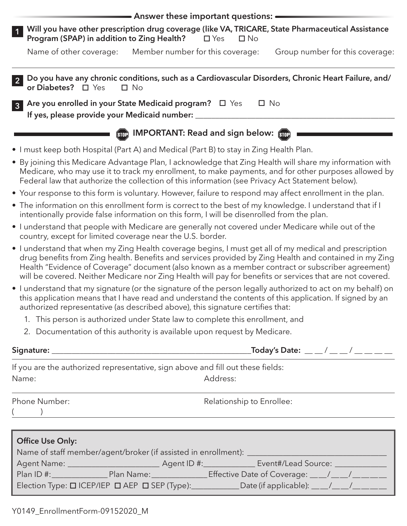|                                                                                                                                                                                                                                                                                                                                                                                                                                   | $\bullet$ Answer these important questions: $\bullet$ |                            |              |                                 |
|-----------------------------------------------------------------------------------------------------------------------------------------------------------------------------------------------------------------------------------------------------------------------------------------------------------------------------------------------------------------------------------------------------------------------------------|-------------------------------------------------------|----------------------------|--------------|---------------------------------|
| Will you have other prescription drug coverage (like VA, TRICARE, State Pharmaceutical Assistance<br>$\overline{1}$<br>Program (SPAP) in addition to Zing Health?                                                                                                                                                                                                                                                                 |                                                       | $\square$ Yes<br>$\Box$ No |              |                                 |
| Name of other coverage:                                                                                                                                                                                                                                                                                                                                                                                                           | Member number for this coverage:                      |                            |              | Group number for this coverage: |
| Do you have any chronic conditions, such as a Cardiovascular Disorders, Chronic Heart Failure, and/<br>$\overline{2}$<br>or Diabetes? □ Yes                                                                                                                                                                                                                                                                                       | $\square$ No                                          |                            |              |                                 |
| Are you enrolled in your State Medicaid program?<br><u> </u> Yes<br>$\overline{3}$<br>If yes, please provide your Medicaid number: _                                                                                                                                                                                                                                                                                              |                                                       |                            | $\square$ No |                                 |
|                                                                                                                                                                                                                                                                                                                                                                                                                                   | <b>Gue IMPORTANT: Read and sign below:</b> Gue        |                            |              |                                 |
| • I must keep both Hospital (Part A) and Medical (Part B) to stay in Zing Health Plan.                                                                                                                                                                                                                                                                                                                                            |                                                       |                            |              |                                 |
| • By joining this Medicare Advantage Plan, I acknowledge that Zing Health will share my information with<br>Medicare, who may use it to track my enrollment, to make payments, and for other purposes allowed by<br>Federal law that authorize the collection of this information (see Privacy Act Statement below).                                                                                                              |                                                       |                            |              |                                 |
| • Your response to this form is voluntary. However, failure to respond may affect enrollment in the plan.                                                                                                                                                                                                                                                                                                                         |                                                       |                            |              |                                 |
| • The information on this enrollment form is correct to the best of my knowledge. I understand that if I<br>intentionally provide false information on this form, I will be disenrolled from the plan.                                                                                                                                                                                                                            |                                                       |                            |              |                                 |
| • I understand that people with Medicare are generally not covered under Medicare while out of the<br>country, except for limited coverage near the U.S. border.                                                                                                                                                                                                                                                                  |                                                       |                            |              |                                 |
| • I understand that when my Zing Health coverage begins, I must get all of my medical and prescription<br>drug benefits from Zing health. Benefits and services provided by Zing Health and contained in my Zing<br>Health "Evidence of Coverage" document (also known as a member contract or subscriber agreement)<br>will be covered. Neither Medicare nor Zing Health will pay for benefits or services that are not covered. |                                                       |                            |              |                                 |
| • I understand that my signature (or the signature of the person legally authorized to act on my behalf) on<br>this application means that I have read and understand the contents of this application. If signed by an<br>authorized representative (as described above), this signature certifies that:                                                                                                                         |                                                       |                            |              |                                 |
| 1. This person is authorized under State law to complete this enrollment, and                                                                                                                                                                                                                                                                                                                                                     |                                                       |                            |              |                                 |
| 2. Documentation of this authority is available upon request by Medicare.                                                                                                                                                                                                                                                                                                                                                         |                                                       |                            |              |                                 |
|                                                                                                                                                                                                                                                                                                                                                                                                                                   |                                                       |                            |              |                                 |
| If you are the authorized representative, sign above and fill out these fields:                                                                                                                                                                                                                                                                                                                                                   |                                                       |                            |              |                                 |
| Name:                                                                                                                                                                                                                                                                                                                                                                                                                             |                                                       | Address:                   |              |                                 |
| Phone Number:                                                                                                                                                                                                                                                                                                                                                                                                                     |                                                       | Relationship to Enrollee:  |              |                                 |
|                                                                                                                                                                                                                                                                                                                                                                                                                                   |                                                       |                            |              |                                 |
|                                                                                                                                                                                                                                                                                                                                                                                                                                   |                                                       |                            |              |                                 |
| <b>Office Use Only:</b>                                                                                                                                                                                                                                                                                                                                                                                                           |                                                       |                            |              |                                 |
|                                                                                                                                                                                                                                                                                                                                                                                                                                   |                                                       |                            |              |                                 |
|                                                                                                                                                                                                                                                                                                                                                                                                                                   |                                                       |                            |              |                                 |
| Election Type: 0 ICEP/IEP 0 AEP 0 SEP (Type): Date (if applicable): __/__/__/___                                                                                                                                                                                                                                                                                                                                                  |                                                       |                            |              |                                 |
|                                                                                                                                                                                                                                                                                                                                                                                                                                   |                                                       |                            |              |                                 |